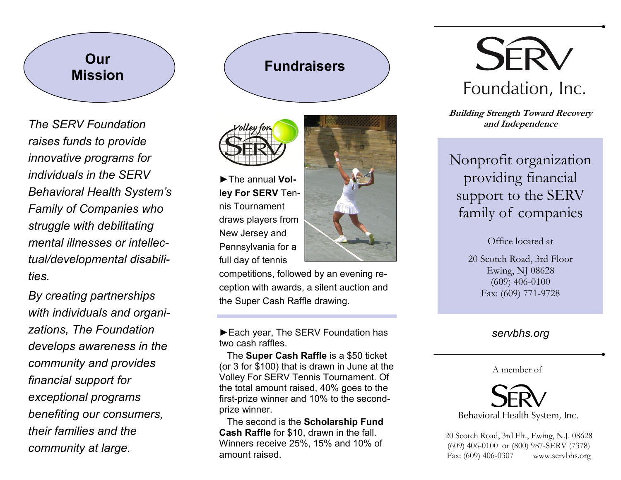# **Our Mission**  $\left($  **Fundraisers**

*The SERV Foundation raises funds to provide innovative programs for individuals in the SERV Behavioral Health System's Family of Companies who struggle with debilitating mental illnesses or intellectual/developmental disabilities.*

*By creating partnerships with individuals and organizations, The Foundation develops awareness in the community and provides financial support for exceptional programs benefiting our consumers, their families and the community at large.*



►The annual **Volley For SERV** Tennis Tournament draws players from New Jersey and Pennsylvania for a full day of tennis



competitions, followed by an evening reception with awards, a silent auction and the Super Cash Raffle drawing.

►Each year, The SERV Foundation has two cash raffles.

 The **Super Cash Raffle** is a \$50 ticket (or 3 for \$100) that is drawn in June at the Volley For SERV Tennis Tournament. Of the total amount raised, 40% goes to the first-prize winner and 10% to the secondprize winner.

 The second is the **Scholarship Fund Cash Raffle** for \$10, drawn in the fall. Winners receive 25%, 15% and 10% of amount raised.



**Building Strength Toward Recovery and Independence**

# Nonprofit organization providing financial support to the SERV family of companies

Office located at

20 Scotch Road, 3rd Floor Ewing, NJ 08628 (609) 406-0100 Fax: (609) 771-9728

### *servbhs.org*

#### A member of



20 Scotch Road, 3rd Flr., Ewing, N.J. 08628 (609) 406-0100 or (800) 987-SERV (7378) Fax: (609) 406-0307 www.servbhs.org